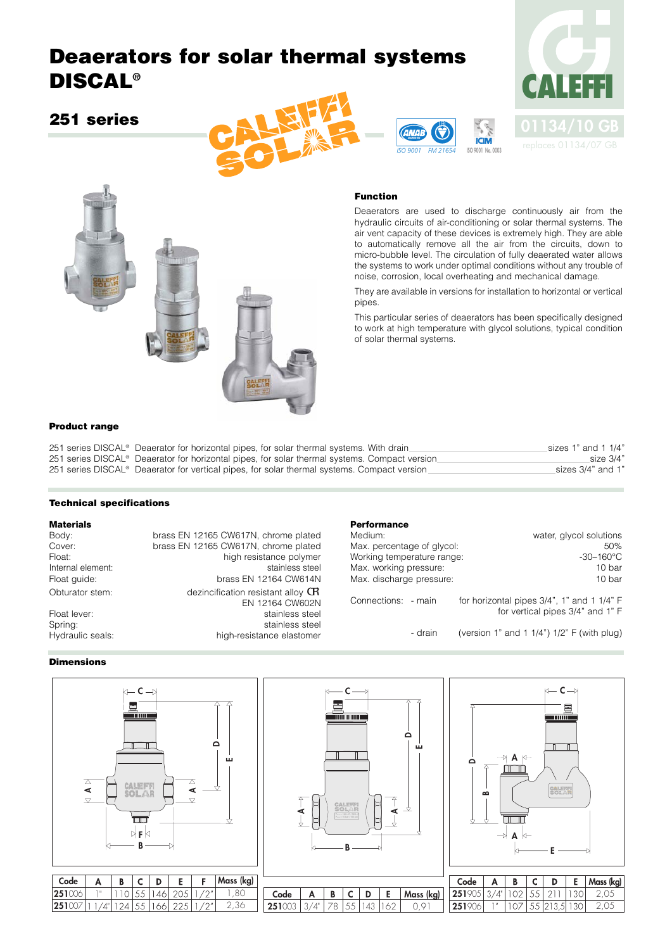# **Deaerators for solar thermal systems DISCAL®**

# **251 series**









#### **Function**

**ACCREDITED** 

**GNAL** 

Deaerators are used to discharge continuously air from the hydraulic circuits of air-conditioning or solar thermal systems. The air vent capacity of these devices is extremely high. They are able to automatically remove all the air from the circuits, down to micro-bubble level. The circulation of fully deaerated water allows the systems to work under optimal conditions without any trouble of noise, corrosion, local overheating and mechanical damage.

They are available in versions for installation to horizontal or vertical pipes.

This particular series of deaerators has been specifically designed to work at high temperature with glycol solutions, typical condition of solar thermal systems.

#### **Product range**

251 series DISCAL® Deaerator for horizontal pipes, for solar thermal systems. With drain sizes 1" and 1 1/4" 251 series DISCAL<sup>®</sup> Deaerator for horizontal pipes, for solar thermal systems. Compact version size 3/4" size 3/4" 251 series DISCAL® Deaerator for vertical pipes, for solar thermal systems. Compact version sizes 3/4" and 1"

#### **Technical specifications**

**Materials** brass EN 12165 CW617N, chrome plated Cover: brass EN 12165 CW617N, chrome plated Float: high resistance polymer Internal element: stainless steel Float guide: brass EN 12164 CW614N Obturator stem:  $\qquad \qquad$  dezincification resistant alloy  $\mathbf G$ EN 12164 CW602N Float lever: stainless steel Spring: stainless steel Hydraulic seals: high-resistance elastomer

#### **Performance**

| Medium:                    | water, glycol solutions                    |
|----------------------------|--------------------------------------------|
| Max. percentage of glycol: | 50%                                        |
| Working temperature range: | $-30-160^{\circ}$ C                        |
| Max. working pressure:     | 10 bar                                     |
| Max. discharge pressure:   | 10 bar                                     |
|                            |                                            |
| Connections: - main        | for horizontal pipes 3/4", 1" and 1 1/4" F |
|                            | for vertical pipes 3/4" and 1" F           |
|                            |                                            |

- drain (version 1" and 1 1/4") 1/2" F (with plug)

### **Dimensions**





| Code | Α | D |  | . E . | <b>Mass</b><br>$\mathsf{l}$ |
|------|---|---|--|-------|-----------------------------|
| ີ    |   | ⊾ |  |       |                             |



| Code   | R |     | D      | Е   | Mass (ka) |
|--------|---|-----|--------|-----|-----------|
| 251%   |   | 55. | -21.   |     |           |
| $-251$ |   |     | 55 213 | -30 | $( ) -$   |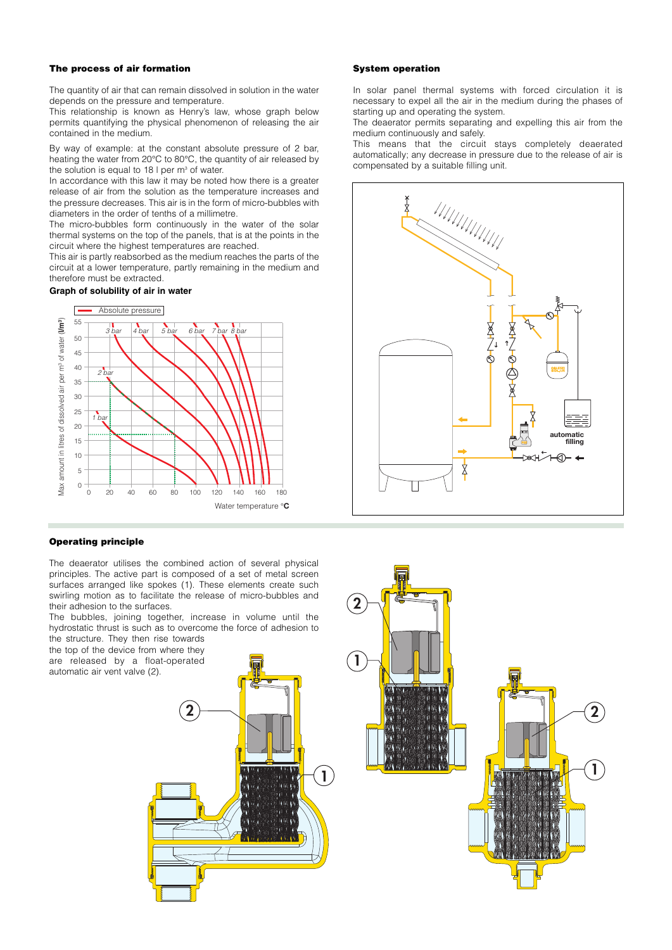#### **The process of air formation**

The quantity of air that can remain dissolved in solution in the water depends on the pressure and temperature.

This relationship is known as Henry's law, whose graph below permits quantifying the physical phenomenon of releasing the air contained in the medium.

By way of example: at the constant absolute pressure of 2 bar, heating the water from 20°C to 80°C, the quantity of air released by the solution is equal to  $18 \mid$  per m<sup>3</sup> of water.

In accordance with this law it may be noted how there is a greater release of air from the solution as the temperature increases and the pressure decreases. This air is in the form of micro-bubbles with diameters in the order of tenths of a millimetre.

The micro-bubbles form continuously in the water of the solar thermal systems on the top of the panels, that is at the points in the circuit where the highest temperatures are reached.

This air is partly reabsorbed as the medium reaches the parts of the circuit at a lower temperature, partly remaining in the medium and therefore must be extracted.

#### **Graph of solubility of air in water**



#### **Operating principle**

The deaerator utilises the combined action of several physical principles. The active part is composed of a set of metal screen surfaces arranged like spokes (1). These elements create such swirling motion as to facilitate the release of micro-bubbles and their adhesion to the surfaces.

The bubbles, joining together, increase in volume until the hydrostatic thrust is such as to overcome the force of adhesion to the structure. They then rise towards

the top of the device from where they are released by a float-operated automatic air vent valve (2).



#### **System operation**

In solar panel thermal systems with forced circulation it is necessary to expel all the air in the medium during the phases of starting up and operating the system.

The deaerator permits separating and expelling this air from the medium continuously and safely.

This means that the circuit stays completely deaerated automatically; any decrease in pressure due to the release of air is compensated by a suitable filling unit.



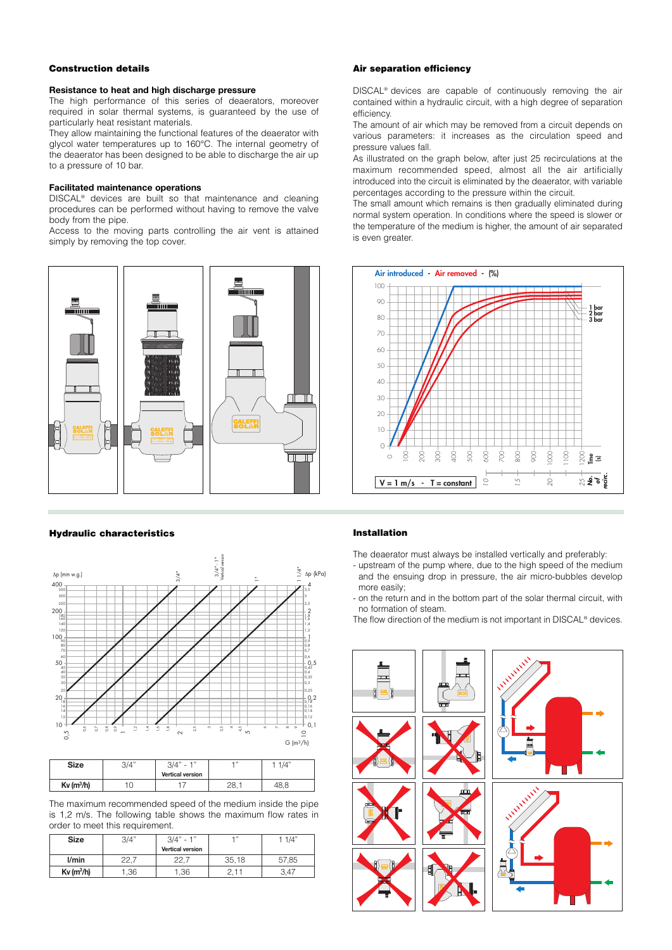#### **Construction details**

#### **Resistance to heat and high discharge pressure**

The high performance of this series of deaerators, moreover required in solar thermal systems, is guaranteed by the use of particularly heat resistant materials.

They allow maintaining the functional features of the deaerator with glycol water temperatures up to 160°C. The internal geometry of the deaerator has been designed to be able to discharge the air up to a pressure of 10 bar.

#### **Facilitated maintenance operations**

DISCAL® devices are built so that maintenance and cleaning procedures can be performed without having to remove the valve body from the pipe.

Access to the moving parts controlling the air vent is attained simply by removing the top cover.



#### **Hydraulic characteristics**



| <b>Size</b>      | 3/4" | $-411$<br>3/4"<br>$\sim$ | $-472$ | 1/4" |
|------------------|------|--------------------------|--------|------|
|                  |      | <b>Vertical version</b>  |        |      |
| $Kv$ ( $m^3/h$ ) |      |                          | חר     |      |

The maximum recommended speed of the medium inside the pipe is 1,2 m/s. The following table shows the maximum flow rates in order to meet this requirement.

| <b>Size</b>      | 3/4" | $3/4" - 1"$             | $-111$ | 1 1/4" |
|------------------|------|-------------------------|--------|--------|
|                  |      | <b>Vertical version</b> |        |        |
| l/min            | つつ . | つつ                      | 35,18  | 57,85  |
| $Kv$ ( $m^3/h$ ) | ,36  | 1,36                    |        | 3.47   |

#### **Air separation efficiency**

DISCAL® devices are capable of continuously removing the air contained within a hydraulic circuit, with a high degree of separation efficiency.

The amount of air which may be removed from a circuit depends on various parameters: it increases as the circulation speed and pressure values fall.

As illustrated on the graph below, after just 25 recirculations at the maximum recommended speed, almost all the air artificially introduced into the circuit is eliminated by the deaerator, with variable percentages according to the pressure within the circuit.

The small amount which remains is then gradually eliminated during normal system operation. In conditions where the speed is slower or the temperature of the medium is higher, the amount of air separated is even greater.



#### **Installation**

The deaerator must always be installed vertically and preferably:

- upstream of the pump where, due to the high speed of the medium and the ensuing drop in pressure, the air micro-bubbles develop more easily;
- on the return and in the bottom part of the solar thermal circuit, with no formation of steam.

The flow direction of the medium is not important in DISCAL® devices.